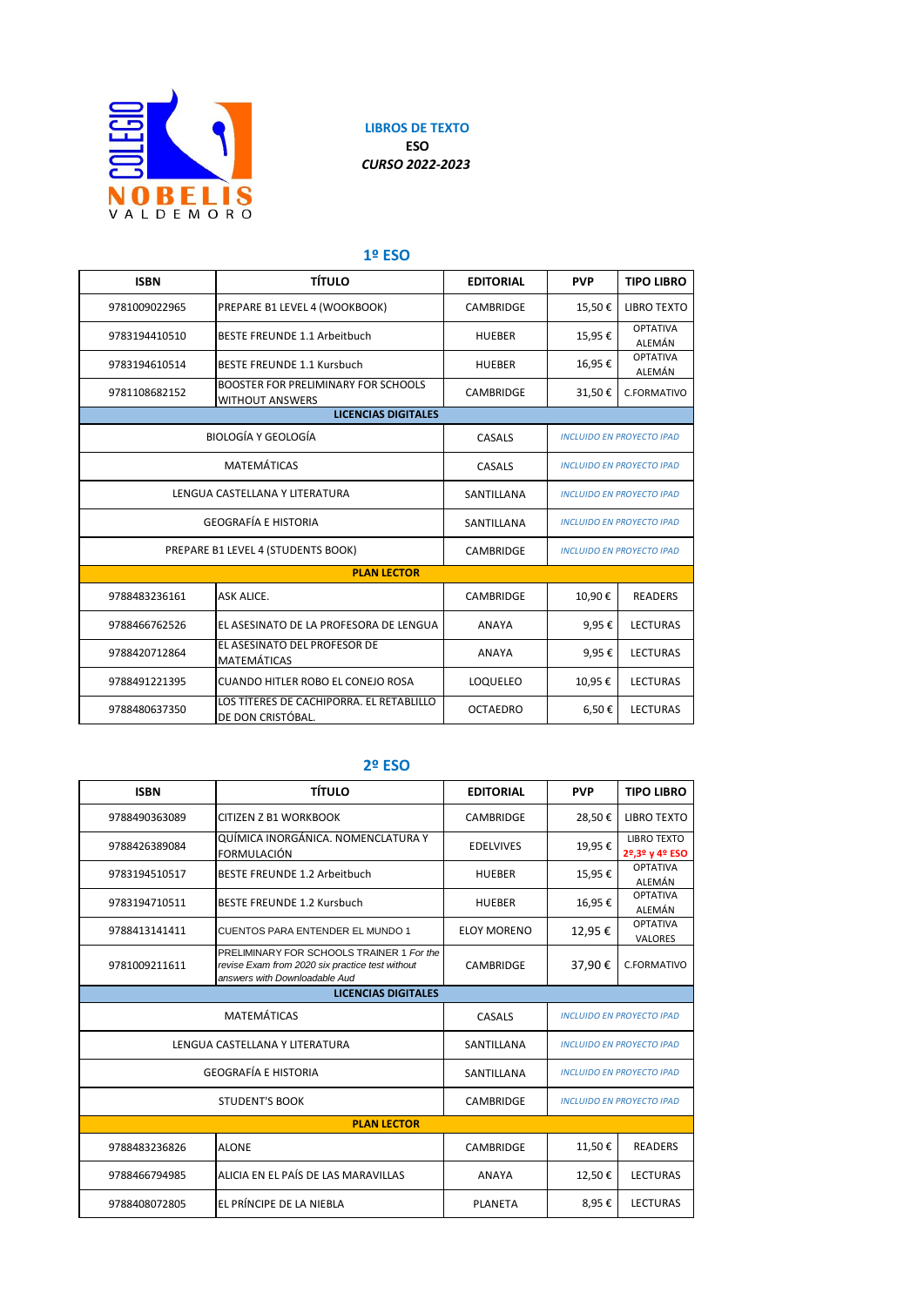

**LIBROS DE TEXTO ESO** *CURSO 2022-2023*

## **1º ESO**

| <b>ISBN</b>                        | <b>TÍTULO</b>                                                 | <b>EDITORIAL</b> | <b>PVP</b>                       | <b>TIPO LIBRO</b>                |
|------------------------------------|---------------------------------------------------------------|------------------|----------------------------------|----------------------------------|
| 9781009022965                      | PREPARE B1 LEVEL 4 (WOOKBOOK)                                 | <b>CAMBRIDGE</b> | 15,50€                           | <b>LIBRO TEXTO</b>               |
| 9783194410510                      | <b>BESTE FREUNDE 1.1 Arbeitbuch</b>                           | <b>HUEBER</b>    | 15,95€                           | <b>OPTATIVA</b><br>ALEMÁN        |
| 9783194610514                      | <b>BESTE FREUNDE 1.1 Kursbuch</b>                             | <b>HUEBER</b>    | 16,95€                           | <b>OPTATIVA</b><br>ALEMÁN        |
| 9781108682152                      | BOOSTER FOR PRELIMINARY FOR SCHOOLS<br><b>WITHOUT ANSWERS</b> | <b>CAMBRIDGE</b> | 31,50€                           | C.FORMATIVO                      |
|                                    | <b>LICENCIAS DIGITALES</b>                                    |                  |                                  |                                  |
| <b>BIOLOGÍA Y GEOLOGÍA</b>         |                                                               | CASALS           | <b>INCLUIDO EN PROYECTO IPAD</b> |                                  |
| <b>MATEMÁTICAS</b>                 |                                                               | CASALS           | <b>INCLUIDO EN PROYECTO IPAD</b> |                                  |
| LENGUA CASTELLANA Y LITERATURA     |                                                               | SANTILLANA       | <b>INCLUIDO EN PROYECTO IPAD</b> |                                  |
| <b>GEOGRAFÍA E HISTORIA</b>        |                                                               | SANTILLANA       | <b>INCLUIDO EN PROYECTO IPAD</b> |                                  |
| PREPARE B1 LEVEL 4 (STUDENTS BOOK) |                                                               | <b>CAMBRIDGE</b> |                                  | <b>INCLUIDO EN PROYECTO IPAD</b> |
|                                    | <b>PLAN LECTOR</b>                                            |                  |                                  |                                  |
| 9788483236161                      | <b>ASK ALICE.</b>                                             | <b>CAMBRIDGE</b> | 10,90€                           | <b>READERS</b>                   |
| 9788466762526                      | EL ASESINATO DE LA PROFESORA DE LENGUA                        | <b>ANAYA</b>     | 9,95€                            | <b>LECTURAS</b>                  |
| 9788420712864                      | EL ASESINATO DEL PROFESOR DE<br><b>MATEMÁTICAS</b>            | <b>ANAYA</b>     | 9,95€                            | <b>LECTURAS</b>                  |
| 9788491221395                      | <b>CUANDO HITLER ROBO EL CONEJO ROSA</b>                      | LOQUELEO         | 10,95€                           | <b>LECTURAS</b>                  |
| 9788480637350                      | LOS TÍTERES DE CACHIPORRA. EL RETABLILLO<br>DE DON CRISTÓBAL. | <b>OCTAEDRO</b>  | 6,50€                            | <b>LECTURAS</b>                  |

## **2º ESO**

| <b>ISBN</b>                                                      | <b>TÍTULO</b>                                                                                                                 | <b>EDITORIAL</b>   | <b>PVP</b>                       | <b>TIPO LIBRO</b>                    |
|------------------------------------------------------------------|-------------------------------------------------------------------------------------------------------------------------------|--------------------|----------------------------------|--------------------------------------|
| 9788490363089                                                    | CITIZEN Z B1 WORKBOOK                                                                                                         | <b>CAMBRIDGE</b>   | 28,50€                           | <b>LIBRO TEXTO</b>                   |
| 9788426389084                                                    | QUÍMICA INORGÁNICA. NOMENCLATURA Y<br><b>FORMULACIÓN</b>                                                                      | <b>EDELVIVES</b>   | 19,95€                           | <b>LIBRO TEXTO</b><br>2º,3º y 4º ESO |
| 9783194510517                                                    | <b>BESTE FREUNDE 1.2 Arbeitbuch</b>                                                                                           | <b>HUEBER</b>      | 15,95€                           | <b>OPTATIVA</b><br>ALEMÁN            |
| 9783194710511                                                    | BESTE FREUNDE 1.2 Kursbuch                                                                                                    | <b>HUEBER</b>      | 16,95€                           | <b>OPTATIVA</b><br>ALEMÁN            |
| 9788413141411                                                    | <b>CUENTOS PARA ENTENDER EL MUNDO 1</b>                                                                                       | <b>ELOY MORENO</b> | 12,95€                           | <b>OPTATIVA</b><br><b>VALORES</b>    |
| 9781009211611                                                    | PRELIMINARY FOR SCHOOLS TRAINER 1 For the<br>revise Exam from 2020 six practice test without<br>answers with Downloadable Aud | <b>CAMBRIDGE</b>   | 37,90€                           | C.FORMATIVO                          |
|                                                                  | <b>LICENCIAS DIGITALES</b>                                                                                                    |                    |                                  |                                      |
| <b>MATEMÁTICAS</b><br>CASALS<br><b>INCLUIDO EN PROYECTO IPAD</b> |                                                                                                                               |                    |                                  |                                      |
| LENGUA CASTELLANA Y LITERATURA                                   |                                                                                                                               | SANTILLANA         | <b>INCLUIDO EN PROYECTO IPAD</b> |                                      |
| <b>GEOGRAFÍA E HISTORIA</b>                                      |                                                                                                                               | SANTILLANA         | <b>INCLUIDO EN PROYECTO IPAD</b> |                                      |
| <b>STUDENT'S BOOK</b>                                            |                                                                                                                               | <b>CAMBRIDGE</b>   | <b>INCLUIDO EN PROYECTO IPAD</b> |                                      |
| <b>PLAN LECTOR</b>                                               |                                                                                                                               |                    |                                  |                                      |
| 9788483236826                                                    | <b>ALONE</b>                                                                                                                  | <b>CAMBRIDGE</b>   | 11,50€                           | <b>READERS</b>                       |
| 9788466794985                                                    | ALICIA EN EL PAÍS DE LAS MARAVILLAS                                                                                           | <b>ANAYA</b>       | 12,50€                           | <b>LECTURAS</b>                      |
| 9788408072805                                                    | EL PRÍNCIPE DE LA NIEBLA                                                                                                      | <b>PLANETA</b>     | 8,95€                            | <b>LECTURAS</b>                      |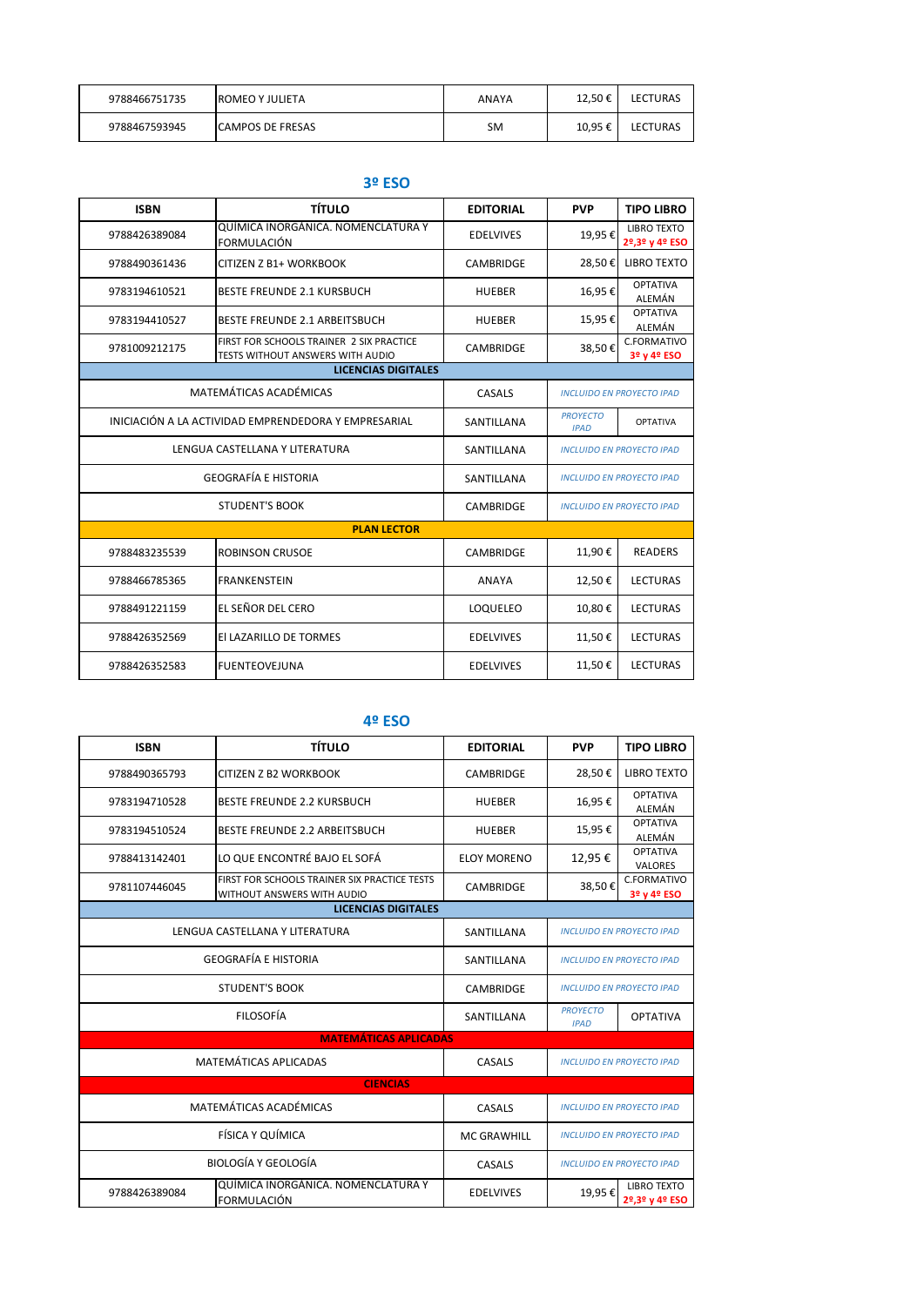| 9788466751735 | <b>ROMEO Y JULIETA</b>  | ANAYA | 12.50€ | <b>LECTURAS</b> |
|---------------|-------------------------|-------|--------|-----------------|
| 9788467593945 | <b>CAMPOS DE FRESAS</b> | SM    | 10,95€ | <b>LECTURAS</b> |

## **3º ESO**

|                                                      | J- LJV                                                                              |                  |                                  |                                      |
|------------------------------------------------------|-------------------------------------------------------------------------------------|------------------|----------------------------------|--------------------------------------|
| <b>ISBN</b>                                          | <b>TÍTULO</b>                                                                       | <b>EDITORIAL</b> | <b>PVP</b>                       | <b>TIPO LIBRO</b>                    |
| 9788426389084                                        | QUÍMICA INORGÁNICA. NOMENCLATURA Y<br>FORMULACIÓN                                   | <b>EDELVIVES</b> | 19,95€                           | <b>LIBRO TEXTO</b><br>2º,3º y 4º ESO |
| 9788490361436                                        | CITIZEN Z B1+ WORKBOOK                                                              | <b>CAMBRIDGE</b> | 28,50€                           | <b>LIBRO TEXTO</b>                   |
| 9783194610521                                        | <b>BESTE FREUNDE 2.1 KURSBUCH</b>                                                   | <b>HUEBER</b>    | 16,95€                           | <b>OPTATIVA</b><br>ALEMÁN            |
| 9783194410527                                        | <b>BESTE FREUNDE 2.1 ARBEITSBUCH</b>                                                | <b>HUEBER</b>    | 15,95€                           | <b>OPTATIVA</b><br>ALEMÁN            |
| 9781009212175                                        | FIRST FOR SCHOOLS TRAINER 2 SIX PRACTICE<br><b>TESTS WITHOUT ANSWERS WITH AUDIO</b> | <b>CAMBRIDGE</b> | 38,50€                           | C.FORMATIVO<br>3º y 4º ESO           |
| <b>LICENCIAS DIGITALES</b>                           |                                                                                     |                  |                                  |                                      |
| MATEMÁTICAS ACADÉMICAS                               |                                                                                     | CASALS           | <b>INCLUIDO EN PROYECTO IPAD</b> |                                      |
| INICIACIÓN A LA ACTIVIDAD EMPRENDEDORA Y EMPRESARIAL |                                                                                     | SANTILLANA       | <b>PROYECTO</b><br><b>IPAD</b>   | <b>OPTATIVA</b>                      |
| LENGUA CASTELLANA Y LITERATURA                       |                                                                                     | SANTILLANA       | <b>INCLUIDO EN PROYECTO IPAD</b> |                                      |
| <b>GEOGRAFÍA E HISTORIA</b>                          |                                                                                     | SANTILLANA       | <b>INCLUIDO EN PROYECTO IPAD</b> |                                      |
| <b>STUDENT'S BOOK</b>                                |                                                                                     | <b>CAMBRIDGE</b> | <b>INCLUIDO EN PROYECTO IPAD</b> |                                      |
|                                                      | <b>PLAN LECTOR</b>                                                                  |                  |                                  |                                      |
| 9788483235539                                        | <b>ROBINSON CRUSOE</b>                                                              | <b>CAMBRIDGE</b> | 11,90€                           | <b>READERS</b>                       |
| 9788466785365                                        | <b>FRANKENSTEIN</b>                                                                 | <b>ANAYA</b>     | 12,50€                           | <b>LECTURAS</b>                      |
| 9788491221159                                        | EL SEÑOR DEL CERO                                                                   | LOQUELEO         | 10,80€                           | <b>LECTURAS</b>                      |
| 9788426352569                                        | El LAZARILLO DE TORMES                                                              | <b>EDELVIVES</b> | 11,50€                           | <b>LECTURAS</b>                      |
| 9788426352583                                        | <b>FUENTEOVEJUNA</b>                                                                | <b>EDELVIVES</b> | 11,50€                           | <b>LECTURAS</b>                      |

## **4º ESO**

| <b>ISBN</b>                    | <b>TÍTULO</b>                                                              | <b>EDITORIAL</b>   | <b>PVP</b>                       | <b>TIPO LIBRO</b>                    |  |
|--------------------------------|----------------------------------------------------------------------------|--------------------|----------------------------------|--------------------------------------|--|
| 9788490365793                  | CITIZEN Z B2 WORKBOOK                                                      | <b>CAMBRIDGE</b>   | 28,50€                           | <b>LIBRO TEXTO</b>                   |  |
| 9783194710528                  | <b>BESTE FREUNDE 2.2 KURSBUCH</b>                                          | <b>HUEBER</b>      | 16,95€                           | <b>OPTATIVA</b><br>ALEMÁN            |  |
| 9783194510524                  | <b>BESTE FREUNDE 2.2 ARBEITSBUCH</b>                                       | <b>HUEBER</b>      | 15,95€                           | <b>OPTATIVA</b><br>ALEMÁN            |  |
| 9788413142401                  | LO QUE ENCONTRÉ BAJO EL SOFÁ                                               | <b>ELOY MORENO</b> | 12,95€                           | <b>OPTATIVA</b><br><b>VALORES</b>    |  |
| 9781107446045                  | FIRST FOR SCHOOLS TRAINER SIX PRACTICE TESTS<br>WITHOUT ANSWERS WITH AUDIO | <b>CAMBRIDGE</b>   | 38,50€                           | C.FORMATIVO<br>3º y 4º ESO           |  |
|                                | <b>LICENCIAS DIGITALES</b>                                                 |                    |                                  |                                      |  |
| LENGUA CASTELLANA Y LITERATURA |                                                                            | SANTILLANA         | <b>INCLUIDO EN PROYECTO IPAD</b> |                                      |  |
| <b>GEOGRAFÍA E HISTORIA</b>    |                                                                            | SANTILLANA         | <b>INCLUIDO EN PROYECTO IPAD</b> |                                      |  |
| <b>STUDENT'S BOOK</b>          |                                                                            | <b>CAMBRIDGE</b>   | <b>INCLUIDO EN PROYECTO IPAD</b> |                                      |  |
| <b>FILOSOFÍA</b>               |                                                                            | SANTILLANA         | <b>PROYECTO</b><br><b>IPAD</b>   | <b>OPTATIVA</b>                      |  |
| <b>MATEMÁTICAS APLICADAS</b>   |                                                                            |                    |                                  |                                      |  |
| <b>MATEMÁTICAS APLICADAS</b>   |                                                                            | CASALS             |                                  | <b>INCLUIDO EN PROYECTO IPAD</b>     |  |
| <b>CIENCIAS</b>                |                                                                            |                    |                                  |                                      |  |
| MATEMÁTICAS ACADÉMICAS         |                                                                            | CASALS             | <b>INCLUIDO EN PROYECTO IPAD</b> |                                      |  |
| FÍSICA Y QUÍMICA               |                                                                            | <b>MC GRAWHILL</b> | <b>INCLUIDO EN PROYECTO IPAD</b> |                                      |  |
| <b>BIOLOGÍA Y GEOLOGÍA</b>     |                                                                            | CASALS             |                                  | <b>INCLUIDO EN PROYECTO IPAD</b>     |  |
| 9788426389084                  | QUÍMICA INORGÁNICA. NOMENCLATURA Y<br><b>FORMULACIÓN</b>                   | <b>EDELVIVES</b>   | 19,95€                           | <b>LIBRO TEXTO</b><br>2º,3º y 4º ESO |  |